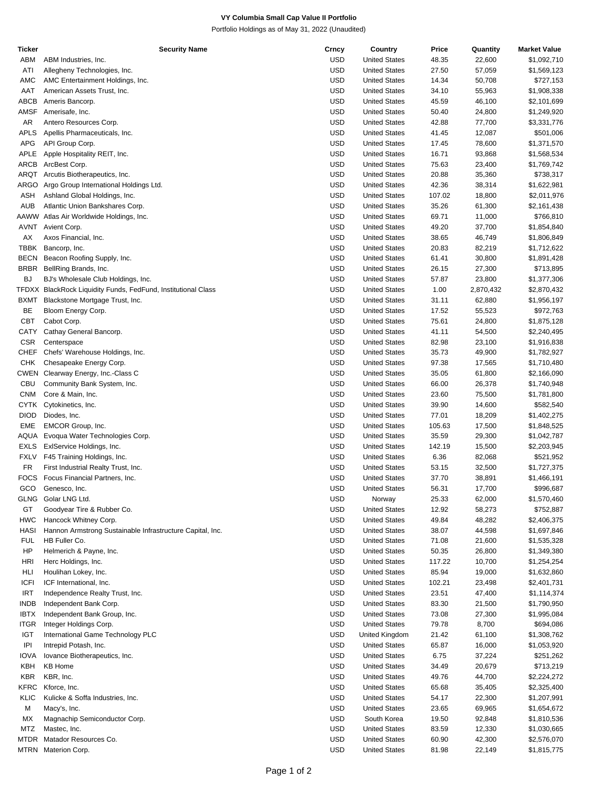## **VY Columbia Small Cap Value II Portfolio**

Portfolio Holdings as of May 31, 2022 (Unaudited)

| <b>Ticker</b> | <b>Security Name</b>                                      | Crncy      | Country              | Price  | Quantity  | <b>Market Value</b> |
|---------------|-----------------------------------------------------------|------------|----------------------|--------|-----------|---------------------|
| ABM           | ABM Industries, Inc.                                      | <b>USD</b> | <b>United States</b> | 48.35  | 22,600    | \$1,092,710         |
| ATI           | Allegheny Technologies, Inc.                              | <b>USD</b> | <b>United States</b> | 27.50  | 57,059    | \$1,569,123         |
| AMC           | AMC Entertainment Holdings, Inc.                          | <b>USD</b> | <b>United States</b> | 14.34  | 50,708    | \$727,153           |
| AAT           | American Assets Trust, Inc.                               | <b>USD</b> | <b>United States</b> | 34.10  | 55,963    | \$1,908,338         |
| ABCB          | Ameris Bancorp.                                           | USD        | <b>United States</b> | 45.59  | 46,100    | \$2,101,699         |
| AMSF          | Amerisafe, Inc.                                           | <b>USD</b> | <b>United States</b> | 50.40  | 24,800    | \$1,249,920         |
| AR            | Antero Resources Corp.                                    | <b>USD</b> | <b>United States</b> | 42.88  | 77,700    | \$3,331,776         |
| <b>APLS</b>   | Apellis Pharmaceuticals, Inc.                             | <b>USD</b> | <b>United States</b> | 41.45  | 12,087    | \$501,006           |
| APG           | API Group Corp.                                           | USD        | <b>United States</b> | 17.45  | 78,600    | \$1,371,570         |
| APLE          | Apple Hospitality REIT, Inc.                              | <b>USD</b> | <b>United States</b> | 16.71  | 93,868    | \$1,568,534         |
| ARCB          | ArcBest Corp.                                             | <b>USD</b> | <b>United States</b> | 75.63  | 23,400    | \$1,769,742         |
| ARQT          | Arcutis Biotherapeutics, Inc.                             | <b>USD</b> | <b>United States</b> | 20.88  |           | \$738,317           |
|               |                                                           |            |                      |        | 35,360    |                     |
| ARGO          | Argo Group International Holdings Ltd.                    | USD        | <b>United States</b> | 42.36  | 38,314    | \$1,622,981         |
| ASH           | Ashland Global Holdings, Inc.                             | <b>USD</b> | <b>United States</b> | 107.02 | 18,800    | \$2,011,976         |
| AUB           | Atlantic Union Bankshares Corp.                           | <b>USD</b> | <b>United States</b> | 35.26  | 61,300    | \$2,161,438         |
|               | AAWW Atlas Air Worldwide Holdings, Inc.                   | <b>USD</b> | <b>United States</b> | 69.71  | 11,000    | \$766,810           |
| AVNT          | Avient Corp.                                              | USD        | <b>United States</b> | 49.20  | 37,700    | \$1,854,840         |
| AX            | Axos Financial, Inc.                                      | <b>USD</b> | <b>United States</b> | 38.65  | 46,749    | \$1,806,849         |
| TBBK          | Bancorp, Inc.                                             | <b>USD</b> | <b>United States</b> | 20.83  | 82,219    | \$1,712,622         |
| <b>BECN</b>   | Beacon Roofing Supply, Inc.                               | <b>USD</b> | <b>United States</b> | 61.41  | 30,800    | \$1,891,428         |
| <b>BRBR</b>   | BellRing Brands, Inc.                                     | <b>USD</b> | <b>United States</b> | 26.15  | 27,300    | \$713,895           |
| BJ            | BJ's Wholesale Club Holdings, Inc.                        | <b>USD</b> | <b>United States</b> | 57.87  | 23,800    | \$1,377,306         |
| TFDXX         | BlackRock Liquidity Funds, FedFund, Institutional Class   | <b>USD</b> | <b>United States</b> | 1.00   | 2,870,432 | \$2,870,432         |
| <b>BXMT</b>   | Blackstone Mortgage Trust, Inc.                           | <b>USD</b> | <b>United States</b> | 31.11  | 62,880    | \$1,956,197         |
| BE            | Bloom Energy Corp.                                        | USD        | <b>United States</b> | 17.52  | 55,523    | \$972,763           |
| CBT           | Cabot Corp.                                               | <b>USD</b> | <b>United States</b> | 75.61  | 24,800    | \$1,875,128         |
| CATY          | Cathay General Bancorp.                                   | <b>USD</b> | <b>United States</b> | 41.11  | 54,500    | \$2,240,495         |
| <b>CSR</b>    | Centerspace                                               | <b>USD</b> | <b>United States</b> | 82.98  | 23,100    | \$1,916,838         |
| CHEF          | Chefs' Warehouse Holdings, Inc.                           | USD        | <b>United States</b> | 35.73  | 49,900    | \$1,782,927         |
| CHK           | Chesapeake Energy Corp.                                   | <b>USD</b> | <b>United States</b> | 97.38  | 17,565    | \$1,710,480         |
| CWEN          | Clearway Energy, Inc.-Class C                             | <b>USD</b> | <b>United States</b> | 35.05  | 61,800    | \$2,166,090         |
| CBU           | Community Bank System, Inc.                               | <b>USD</b> | <b>United States</b> | 66.00  | 26,378    | \$1,740,948         |
| <b>CNM</b>    | Core & Main, Inc.                                         | USD        | <b>United States</b> | 23.60  | 75,500    | \$1,781,800         |
| CYTK          | Cytokinetics, Inc.                                        | <b>USD</b> | <b>United States</b> | 39.90  | 14,600    | \$582,540           |
| <b>DIOD</b>   | Diodes, Inc.                                              | <b>USD</b> | <b>United States</b> | 77.01  | 18,209    | \$1,402,275         |
|               |                                                           | <b>USD</b> |                      |        |           |                     |
| EME           | EMCOR Group, Inc.                                         |            | <b>United States</b> | 105.63 | 17,500    | \$1,848,525         |
| AQUA          | Evoqua Water Technologies Corp.                           | USD        | <b>United States</b> | 35.59  | 29,300    | \$1,042,787         |
| EXLS          | ExIService Holdings, Inc.                                 | <b>USD</b> | <b>United States</b> | 142.19 | 15,500    | \$2,203,945         |
| <b>FXLV</b>   | F45 Training Holdings, Inc.                               | <b>USD</b> | <b>United States</b> | 6.36   | 82,068    | \$521,952           |
| <b>FR</b>     | First Industrial Realty Trust, Inc.                       | <b>USD</b> | <b>United States</b> | 53.15  | 32,500    | \$1,727,375         |
| FOCS          | Focus Financial Partners, Inc.                            | USD        | <b>United States</b> | 37.70  | 38,891    | \$1,466,191         |
| GCO           | Genesco, Inc.                                             | <b>USD</b> | <b>United States</b> | 56.31  | 17,700    | \$996,687           |
|               | GLNG Golar LNG Ltd.                                       | <b>USD</b> | Norway               | 25.33  | 62,000    | \$1,570,460         |
| GT            | Goodyear Tire & Rubber Co.                                | <b>USD</b> | <b>United States</b> | 12.92  | 58,273    | \$752,887           |
| <b>HWC</b>    | Hancock Whitney Corp.                                     | <b>USD</b> | <b>United States</b> | 49.84  | 48,282    | \$2,406,375         |
| <b>HASI</b>   | Hannon Armstrong Sustainable Infrastructure Capital, Inc. | <b>USD</b> | <b>United States</b> | 38.07  | 44,598    | \$1,697,846         |
| <b>FUL</b>    | HB Fuller Co.                                             | <b>USD</b> | <b>United States</b> | 71.08  | 21,600    | \$1,535,328         |
| HP            | Helmerich & Payne, Inc.                                   | <b>USD</b> | <b>United States</b> | 50.35  | 26,800    | \$1,349,380         |
| HRI           | Herc Holdings, Inc.                                       | USD        | <b>United States</b> | 117.22 | 10,700    | \$1,254,254         |
| HLI           | Houlihan Lokey, Inc.                                      | <b>USD</b> | <b>United States</b> | 85.94  | 19,000    | \$1,632,860         |
| <b>ICFI</b>   | ICF International, Inc.                                   | <b>USD</b> | <b>United States</b> | 102.21 | 23,498    | \$2,401,731         |
| <b>IRT</b>    | Independence Realty Trust, Inc.                           | <b>USD</b> | <b>United States</b> | 23.51  | 47,400    | \$1,114,374         |
| <b>INDB</b>   | Independent Bank Corp.                                    | USD        | <b>United States</b> | 83.30  | 21,500    | \$1,790,950         |
| <b>IBTX</b>   | Independent Bank Group, Inc.                              | <b>USD</b> | <b>United States</b> | 73.08  | 27,300    | \$1,995,084         |
| <b>ITGR</b>   | Integer Holdings Corp.                                    | <b>USD</b> | <b>United States</b> | 79.78  | 8,700     | \$694,086           |
| IGT           | International Game Technology PLC                         | <b>USD</b> | United Kingdom       | 21.42  | 61,100    | \$1,308,762         |
| IPI           | Intrepid Potash, Inc.                                     | USD        | <b>United States</b> | 65.87  | 16,000    | \$1,053,920         |
| <b>IOVA</b>   | lovance Biotherapeutics, Inc.                             | <b>USD</b> | <b>United States</b> | 6.75   | 37,224    | \$251,262           |
| KBH           | <b>KB Home</b>                                            | <b>USD</b> | <b>United States</b> | 34.49  | 20,679    | \$713,219           |
| KBR           | KBR, Inc.                                                 | <b>USD</b> | <b>United States</b> | 49.76  | 44,700    | \$2,224,272         |
| KFRC          | Kforce, Inc.                                              | USD        | <b>United States</b> | 65.68  |           |                     |
|               |                                                           | <b>USD</b> |                      |        | 35,405    | \$2,325,400         |
| KLIC          | Kulicke & Soffa Industries, Inc.                          |            | <b>United States</b> | 54.17  | 22,300    | \$1,207,991         |
| М             | Macy's, Inc.                                              | <b>USD</b> | <b>United States</b> | 23.65  | 69,965    | \$1,654,672         |
| МX            | Magnachip Semiconductor Corp.                             | <b>USD</b> | South Korea          | 19.50  | 92,848    | \$1,810,536         |
| MTZ           | Mastec, Inc.                                              | USD        | <b>United States</b> | 83.59  | 12,330    | \$1,030,665         |
|               | MTDR Matador Resources Co.                                | <b>USD</b> | <b>United States</b> | 60.90  | 42,300    | \$2,576,070         |
|               | MTRN Materion Corp.                                       | <b>USD</b> | <b>United States</b> | 81.98  | 22,149    | \$1,815,775         |